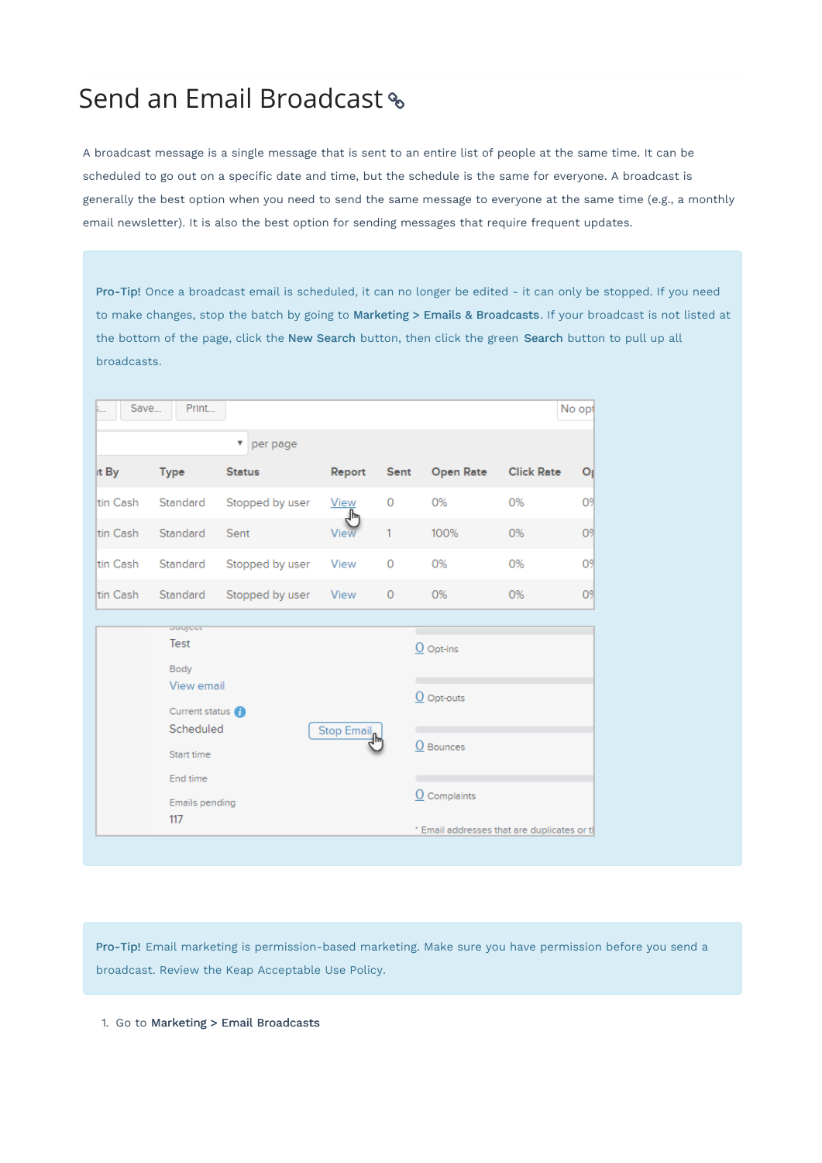# Send an Email Broadcast

A broadcast message is a single message that is sent to an entire list of people at the same time. It can be scheduled to go out on a specific date and time, but the schedule is the same for everyone. A broadcast is generally the best option when you need to send the same message to everyone at the same time (e.g., a monthly email newsletter). It is also the best option for sending messages that require frequent updates.

Pro-Tip! Once a broadcast email is scheduled, it can no longer be edited - it can only be stopped. If you need to make changes, stop the batch by going to Marketing > Emails & Broadcasts. If your broadcast is not listed at the bottom of the page, click the New Search button, then click the green Search button to pull up all broadcasts.

| Save<br><b>b</b> . | Print                 |                 |                    |         |                                            |                   | No opt         |
|--------------------|-----------------------|-----------------|--------------------|---------|--------------------------------------------|-------------------|----------------|
|                    |                       | per page<br>v   |                    |         |                                            |                   |                |
| it By              | <b>Type</b>           | <b>Status</b>   | Report             | Sent    | <b>Open Rate</b>                           | <b>Click Rate</b> | Οı             |
| ltin Cash          | Standard              | Stopped by user | <b>View</b><br>յհո | 0       | 0%                                         | 0%                | O9             |
| tin Cash           | Standard              | Sent            | View               | 1       | 100%                                       | 0%                | O <sub>2</sub> |
| ltin Cash          | Standard              | Stopped by user | View               | 0       | 0%                                         | 0%                | O <sub>2</sub> |
| tin Cash           | Standard              | Stopped by user | View               | $\circ$ | 0%                                         | 0%                | O <sub>2</sub> |
|                    | <b>Julian</b> ce      |                 |                    |         |                                            |                   |                |
|                    | Test                  |                 |                    |         | $Q$ Opt-ins                                |                   |                |
|                    | Body                  |                 |                    |         |                                            |                   |                |
|                    | View email            |                 |                    |         | $O$ Opt-outs                               |                   |                |
|                    | Current status (1)    |                 |                    |         |                                            |                   |                |
|                    | Scheduled             |                 | <b>Stop Email</b>  |         | O Bounces                                  |                   |                |
|                    | Start time            |                 |                    |         |                                            |                   |                |
|                    | End time              |                 |                    |         |                                            |                   |                |
|                    | <b>Emails pending</b> |                 |                    |         | $\Omega$ Complaints                        |                   |                |
|                    | 117                   |                 |                    |         | * Email addresses that are duplicates or t |                   |                |

Pro-Tip! Email marketing is permission-based marketing. Make sure you have permission before you send a broadcast. Review the Keap Acceptable Use Policy.

1. Go to Marketing > Email Broadcasts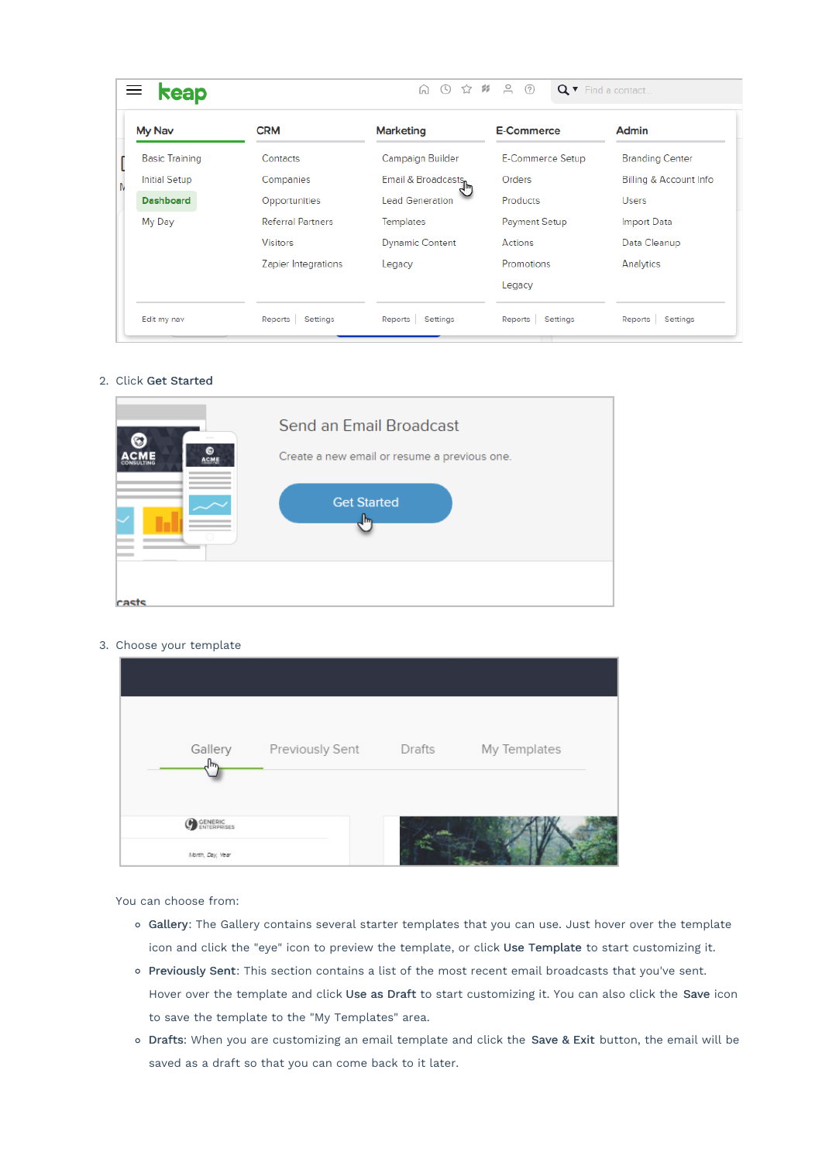| keap                  |                          | ☆ #<br>ta O            |                     | Q v Find a contact     |
|-----------------------|--------------------------|------------------------|---------------------|------------------------|
| My Nav                | <b>CRM</b>               | <b>Marketing</b>       | <b>E-Commerce</b>   | Admin                  |
| <b>Basic Training</b> | Contacts                 | Campaign Builder       | E-Commerce Setup    | <b>Branding Center</b> |
| <b>Initial Setup</b>  | Companies                | Email & Broadcasts,    | Orders              | Billing & Account Info |
| <b>Dashboard</b>      | Opportunities            | <b>Lead Generation</b> | Products            | <b>Users</b>           |
| My Day                | <b>Referral Partners</b> | <b>Templates</b>       | Payment Setup       | <b>Import Data</b>     |
|                       | <b>Visitors</b>          | <b>Dynamic Content</b> | Actions             | Data Cleanup           |
|                       | Zapier Integrations      | Legacy                 | <b>Promotions</b>   | Analytics              |
|                       |                          |                        | Legacy              |                        |
| Edit my nav           | Settings<br>Reports      | Reports Settings       | Settings<br>Reports | Settings<br>Reports    |

#### 2. Click Get Started



#### 3. Choose your template

| Gallery<br>╖     | Previously Sent | <b>Drafts</b> | My Templates |  |
|------------------|-----------------|---------------|--------------|--|
|                  |                 |               |              |  |
| <b>C</b> GENERIC |                 |               |              |  |
| Month, Day, Year |                 |               |              |  |

You can choose from:

- o Gallery: The Gallery contains several starter templates that you can use. Just hover over the template icon and click the "eye" icon to preview the template, or click Use Template to start customizing it.
- o Previously Sent: This section contains a list of the most recent email broadcasts that you've sent. Hover over the template and click Use as Draft to start customizing it. You can also click the Save icon to save the template to the "My Templates" area.
- o Drafts: When you are customizing an email template and click the Save & Exit button, the email will be saved as a draft so that you can come back to it later.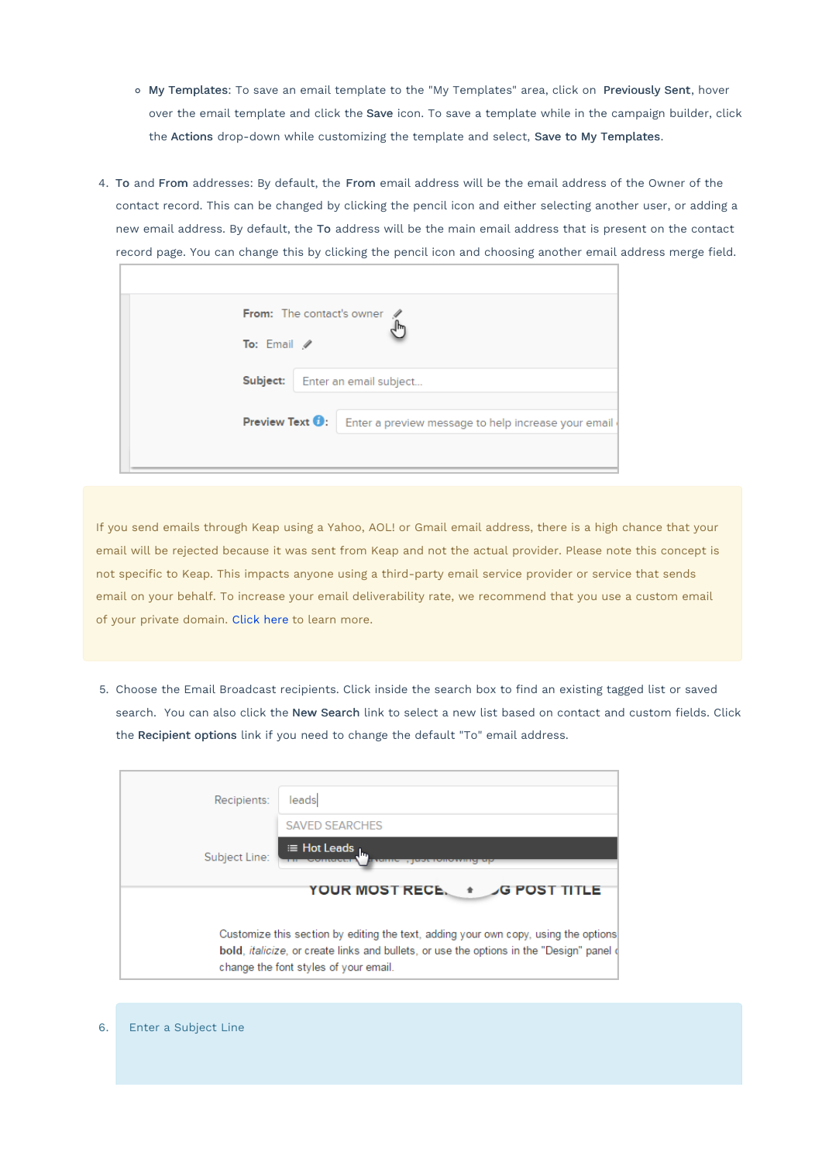- My Templates: To save an email template to the "My Templates" area, click on Previously Sent, hover over the email template and click the Save icon. To save a template while in the campaign builder, click the Actions drop-down while customizing the template and select, Save to My Templates.
- 4. To and From addresses: By default, the From email address will be the email address of the Owner of the contact record. This can be changed by clicking the pencil icon and either selecting another user, or adding a new email address. By default, the To address will be the main email address that is present on the contact record page. You can change this by clicking the pencil icon and choosing another email address merge field.

| To: Email /             | From: The contact's owner                           |
|-------------------------|-----------------------------------------------------|
| Subject:                | Enter an email subject                              |
| Preview Text <b>O</b> : | Enter a preview message to help increase your email |
|                         |                                                     |

If you send emails through Keap using a Yahoo, AOL! or Gmail email address, there is a high chance that your email will be rejected because it was sent from Keap and not the actual provider. Please note this concept is not specific to Keap. This impacts anyone using a third-party email service provider or service that sends email on your behalf. To increase your email deliverability rate, we recommend that you use a custom email of your private domain. Click here to learn more.

5. Choose the Email Broadcast recipients. Click inside the search box to find an existing tagged list or saved search. You can also click the New Search link to select a new list based on contact and custom fields. Click the Recipient options link if you need to change the default "To" email address.

| Recipients:   | leads                                                                                                                                      |
|---------------|--------------------------------------------------------------------------------------------------------------------------------------------|
|               | <b>SAVED SEARCHES</b>                                                                                                                      |
| Subject Line: | ⊞ Hot Leads <sub>Lu</sub><br>שוווע , ושטנ וטווטזאוווט                                                                                      |
|               | YOUR MOST RECE. + G POST TITLE                                                                                                             |
|               | Customize this section by editing the text, adding your own copy, using the options                                                        |
|               | bold, <i>italicize</i> , or create links and bullets, or use the options in the "Design" panel of<br>change the font styles of your email. |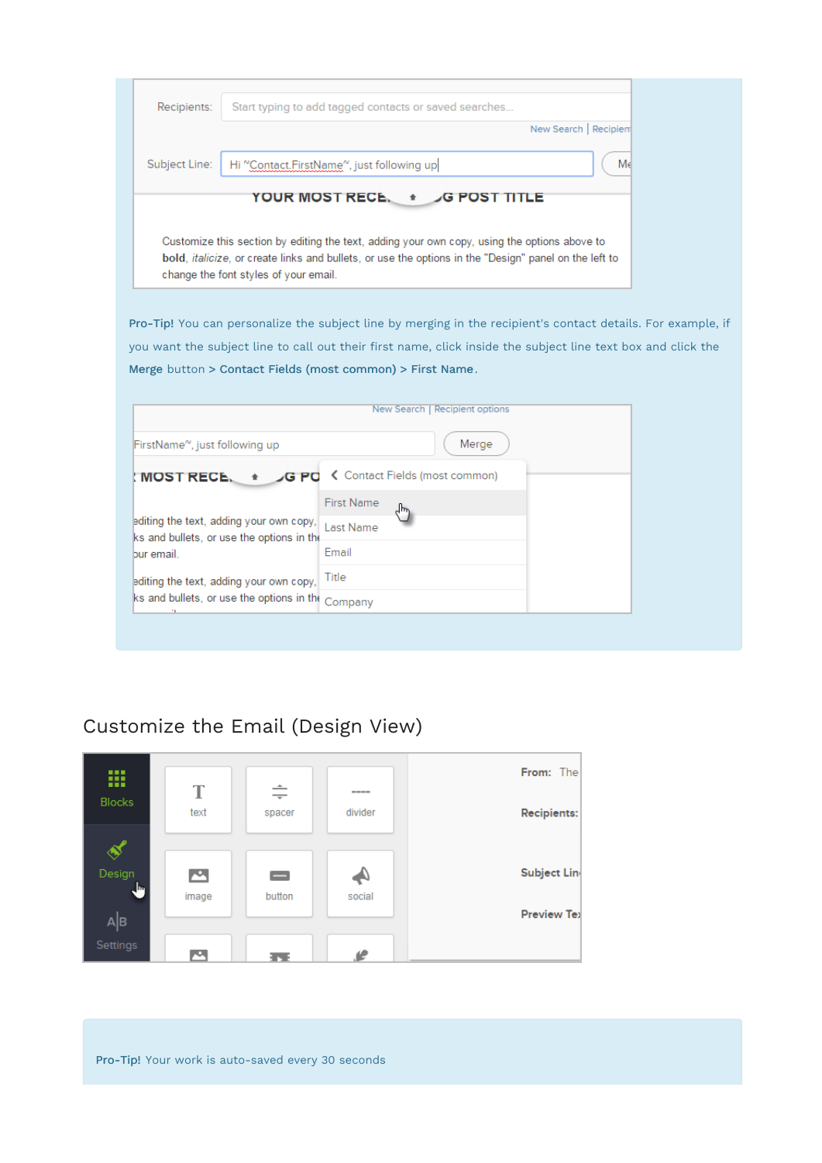| Recipients:                                                                          | Start typing to add tagged contacts or saved searches<br>New Search   Recipien                                                                                                                                |  |
|--------------------------------------------------------------------------------------|---------------------------------------------------------------------------------------------------------------------------------------------------------------------------------------------------------------|--|
| Subject Line:                                                                        | Me<br>Hi "Contact.FirstName", just following up                                                                                                                                                               |  |
|                                                                                      | YOUR MOST RECE. *<br><b>G POST TITLE</b>                                                                                                                                                                      |  |
| change the font styles of your email.                                                | Customize this section by editing the text, adding your own copy, using the options above to<br>bold, <i>italicize</i> , or create links and bullets, or use the options in the "Design" panel on the left to |  |
|                                                                                      | Pro-Tip! You can personalize the subject line by merging in the recipient's contact details. For example, if                                                                                                  |  |
|                                                                                      | you want the subject line to call out their first name, click inside the subject line text box and click the<br>Merge button > Contact Fields (most common) > First Name.                                     |  |
|                                                                                      | New Search   Recipient options                                                                                                                                                                                |  |
|                                                                                      |                                                                                                                                                                                                               |  |
| FirstName <sup>~</sup> , just following up                                           | Merge                                                                                                                                                                                                         |  |
| <b>MOST RECE.</b>                                                                    | ← Contact Fields (most common)<br>G PO                                                                                                                                                                        |  |
|                                                                                      | <b>First Name</b><br>ᆊ                                                                                                                                                                                        |  |
| editing the text, adding your own copy,<br>ks and bullets, or use the options in the | Last Name                                                                                                                                                                                                     |  |
| bur email.                                                                           | Email                                                                                                                                                                                                         |  |
| editing the text, adding your own copy,                                              | Title                                                                                                                                                                                                         |  |

## Customize the Email (Design View)

ks and bullets, or use the options in the Company



Pro-Tip! Your work is auto-saved every 30 seconds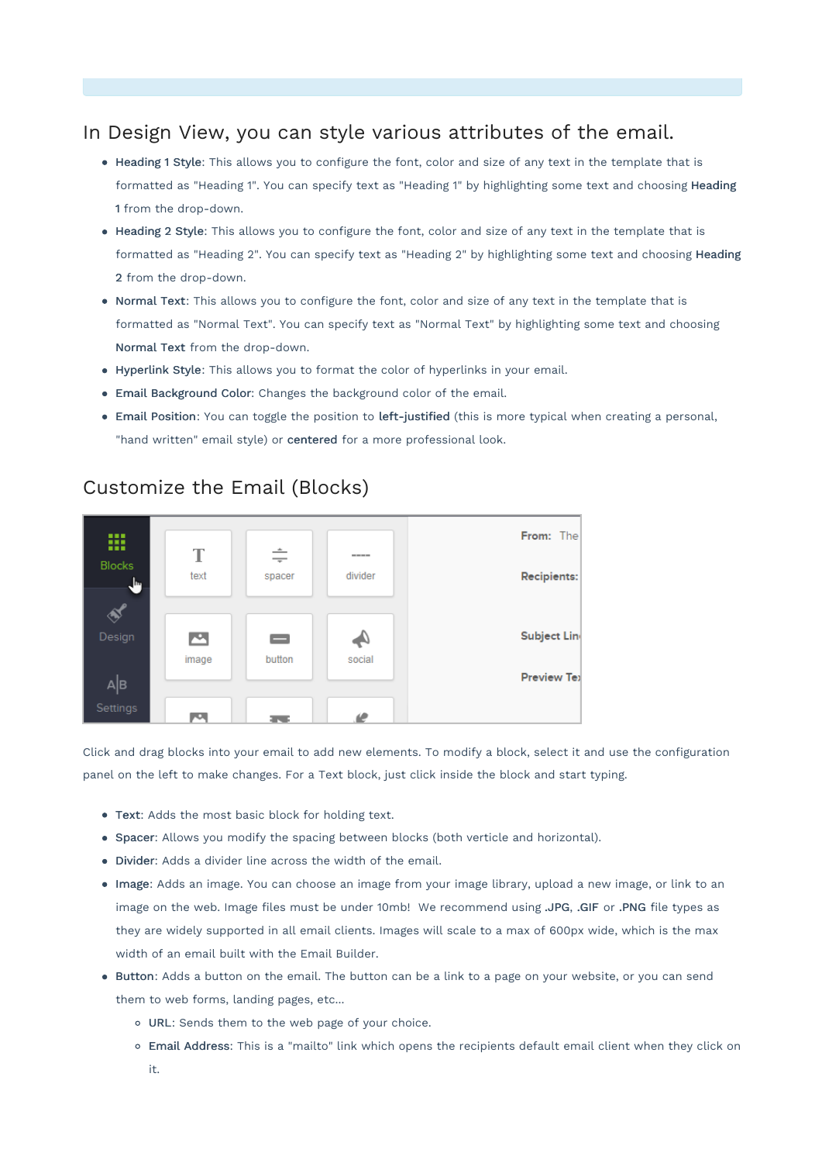### In Design View, you can style various attributes of the email.

- Heading 1 Style: This allows you to configure the font, color and size of any text in the template that is formatted as "Heading 1". You can specify text as "Heading 1" by highlighting some text and choosing Heading 1 from the drop-down.
- Heading 2 Style: This allows you to configure the font, color and size of any text in the template that is formatted as "Heading 2". You can specify text as "Heading 2" by highlighting some text and choosing Heading 2 from the drop-down.
- Normal Text: This allows you to configure the font, color and size of any text in the template that is formatted as "Normal Text". You can specify text as "Normal Text" by highlighting some text and choosing Normal Text from the drop-down.
- Hyperlink Style: This allows you to format the color of hyperlinks in your email.
- Email Background Color: Changes the background color of the email.
- Email Position: You can toggle the position to left-justified (this is more typical when creating a personal, "hand written" email style) or centered for a more professional look.



### Customize the Email (Blocks)

Click and drag blocks into your email to add new elements. To modify a block, select it and use the configuration panel on the left to make changes. For a Text block, just click inside the block and start typing.

- Text: Adds the most basic block for holding text.
- Spacer: Allows you modify the spacing between blocks (both verticle and horizontal).
- Divider: Adds a divider line across the width of the email.
- Image: Adds an image. You can choose an image from your image library, upload a new image, or link to an image on the web. Image files must be under 10mb! We recommend using .JPG, .GIF or .PNG file types as they are widely supported in all email clients. Images will scale to a max of 600px wide, which is the max width of an email built with the Email Builder.
- Button: Adds a button on the email. The button can be a link to a page on your website, or you can send them to web forms, landing pages, etc...
	- URL: Sends them to the web page of your choice.
	- Email Address: This is a "mailto" link which opens the recipients default email client when they click on it.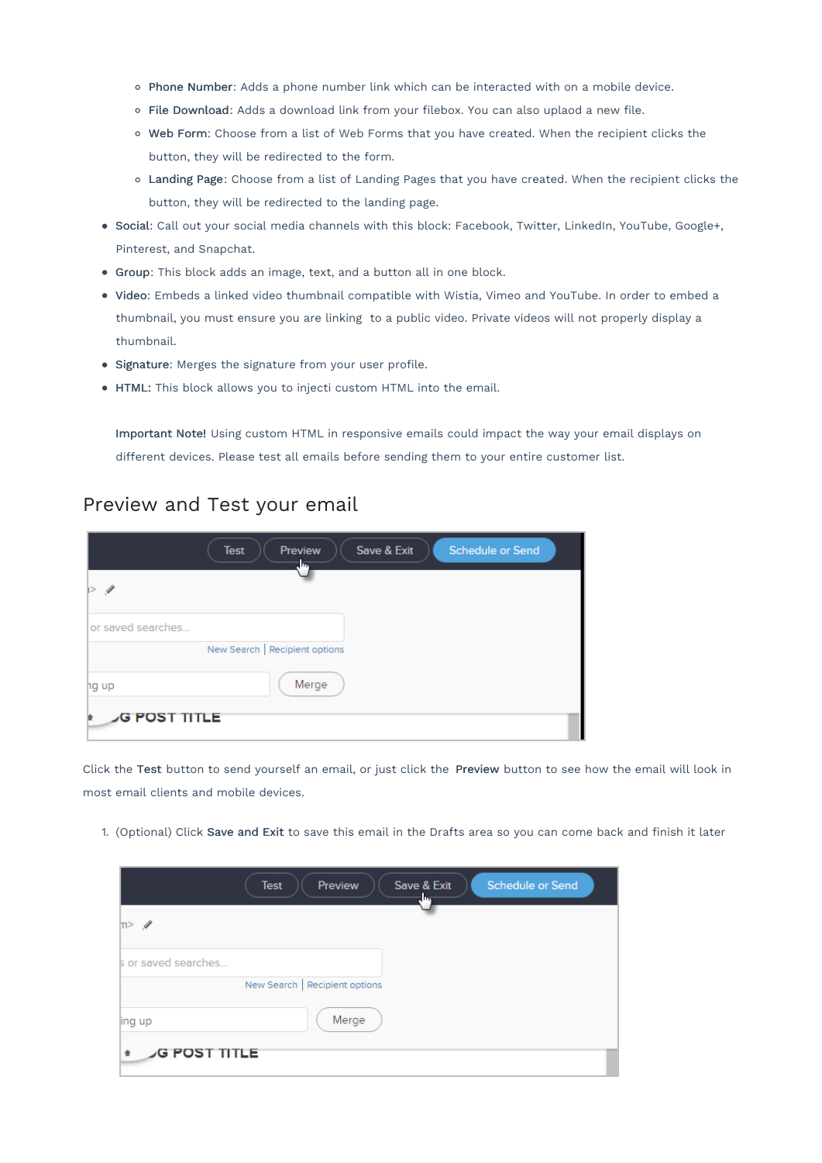- o Phone Number: Adds a phone number link which can be interacted with on a mobile device.
- File Download: Adds a download link from your filebox. You can also uplaod a new file.
- Web Form: Choose from a list of Web Forms that you have created. When the recipient clicks the button, they will be redirected to the form.
- Landing Page: Choose from a list of Landing Pages that you have created. When the recipient clicks the button, they will be redirected to the landing page.
- Social: Call out your social media channels with this block: Facebook, Twitter, LinkedIn, YouTube, Google+, Pinterest, and Snapchat.
- Group: This block adds an image, text, and a button all in one block.
- Video: Embeds a linked video thumbnail compatible with Wistia, Vimeo and YouTube. In order to embed a thumbnail, you must ensure you are linking to a public video. Private videos will not properly display a thumbnail.
- Signature: Merges the signature from your user profile.
- HTML: This block allows you to injecti custom HTML into the email.

Important Note! Using custom HTML in responsive emails could impact the way your email displays on different devices. Please test all emails before sending them to your entire customer list.

#### Preview and Test your email

|                     | Test | Preview<br>سال                 | Save & Exit | <b>Schedule or Send</b> |
|---------------------|------|--------------------------------|-------------|-------------------------|
| I>                  |      |                                |             |                         |
| or saved searches   |      |                                |             |                         |
|                     |      | New Search   Recipient options |             |                         |
| hg up               |      | Merge                          |             |                         |
| <b>G POST TITLE</b> |      |                                |             |                         |

Click the Test button to send yourself an email, or just click the Preview button to see how the email will look in most email clients and mobile devices.

1. (Optional) Click Save and Exit to save this email in the Drafts area so you can come back and finish it later

|                     | Test<br>Preview                | Save & Exit<br>سا. | Schedule or Send |  |
|---------------------|--------------------------------|--------------------|------------------|--|
| m > 1               |                                |                    |                  |  |
| s or saved searches |                                |                    |                  |  |
|                     | New Search   Recipient options |                    |                  |  |
| jing up             | Merge                          |                    |                  |  |
| <b>G POST TITLE</b> |                                |                    |                  |  |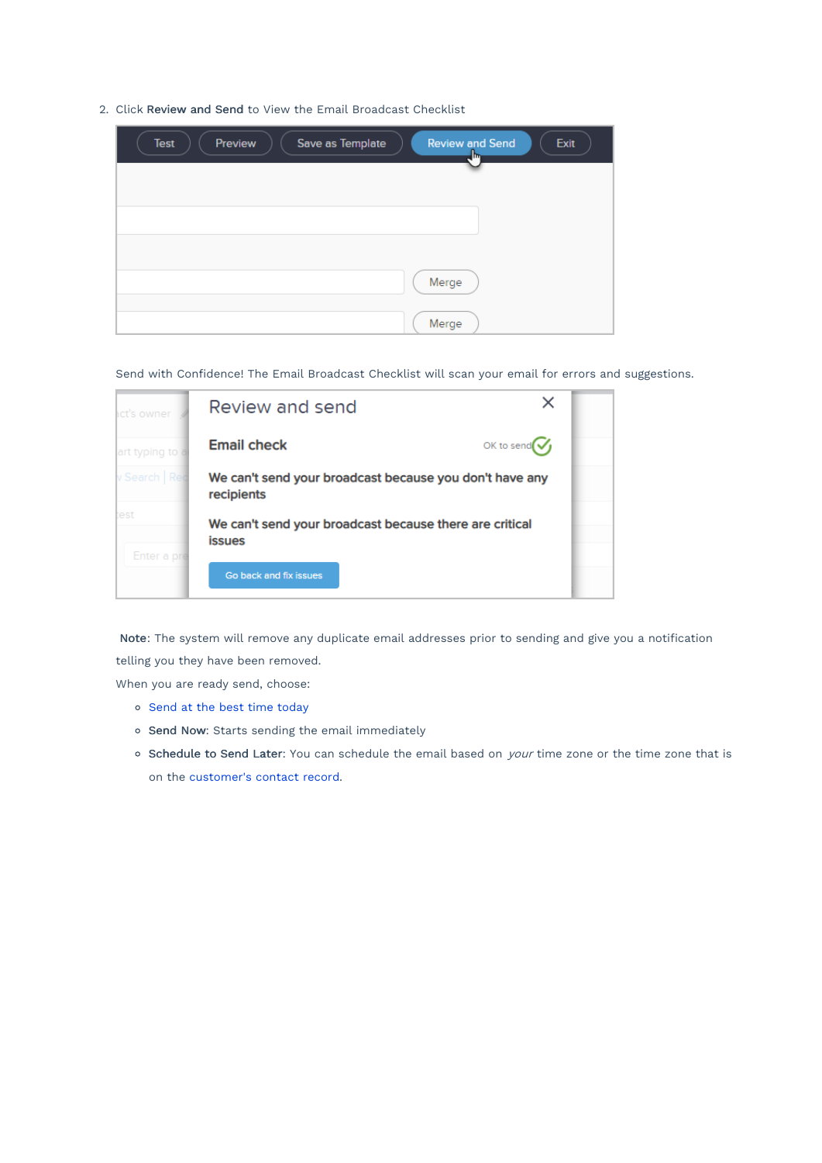2. Click Review and Send to View the Email Broadcast Checklist

| Preview<br>Save as Template<br><b>Review and Send</b><br>Exit<br><b>Test</b><br>$\sqrt{\frac{1}{2}}$ |
|------------------------------------------------------------------------------------------------------|
|                                                                                                      |
|                                                                                                      |
|                                                                                                      |
| Merge                                                                                                |
| Merge                                                                                                |

Send with Confidence! The Email Broadcast Checklist will scan your email for errors and suggestions.

| <b>act's owner</b> | X<br>Review and send                                                     |  |
|--------------------|--------------------------------------------------------------------------|--|
| art typing to      | OK to send $\mathcal G$<br><b>Email check</b>                            |  |
| v Search   Rec     | We can't send your broadcast because you don't have any<br>recipients    |  |
| test               | We can't send your broadcast because there are critical<br><b>issues</b> |  |
| Enter a pre        | Go back and fix issues                                                   |  |

Note: The system will remove any duplicate email addresses prior to sending and give you a notification telling you they have been removed.

When you are ready send, choose:

- o Send at the best time today
- o Send Now: Starts sending the email immediately
- o Schedule to Send Later: You can schedule the email based on *your* time zone or the time zone that is on the customer's contact record.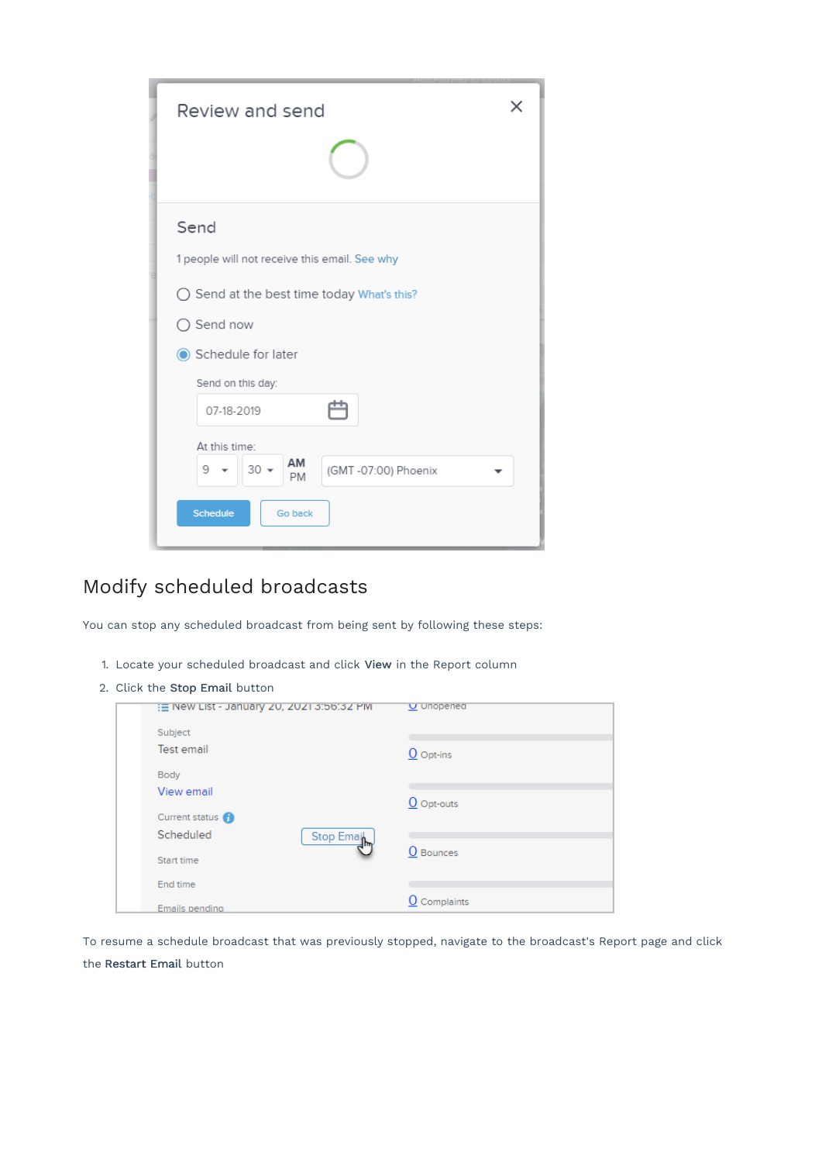| Review and send                                                                                                                |
|--------------------------------------------------------------------------------------------------------------------------------|
| Send<br>1 people will not receive this email. See why                                                                          |
| ◯ Send at the best time today What's this?                                                                                     |
| $\bigcirc$ Send now                                                                                                            |
| Schedule for later<br>Send on this day:<br>r<br>07-18-2019<br>At this time:<br>AM<br>$30 -$<br>9<br>(GMT -07:00) Phoenix<br>PM |
| <b>Schedule</b><br>Go back                                                                                                     |

## Modify scheduled broadcasts

You can stop any scheduled broadcast from being sent by following these steps:

- 1. Locate your scheduled broadcast and click View in the Report column
- 2. Click the Stop Email button

| { E New List - January 20, 2021 3:56:32 PM | $U$ Unopened            |
|--------------------------------------------|-------------------------|
| Subject                                    |                         |
| Test email                                 | $\underline{O}$ Opt-ins |
| Body                                       |                         |
| View email                                 |                         |
|                                            | $O$ Opt-outs            |
| Current status <sup>1</sup>                |                         |
| Scheduled<br>Stop Email                    |                         |
|                                            | O Bounces               |
| Start time                                 |                         |
| End time                                   |                         |
| Emails pending                             | O Complaints            |

To resume a schedule broadcast that was previously stopped, navigate to the broadcast's Report page and click the Restart Email button